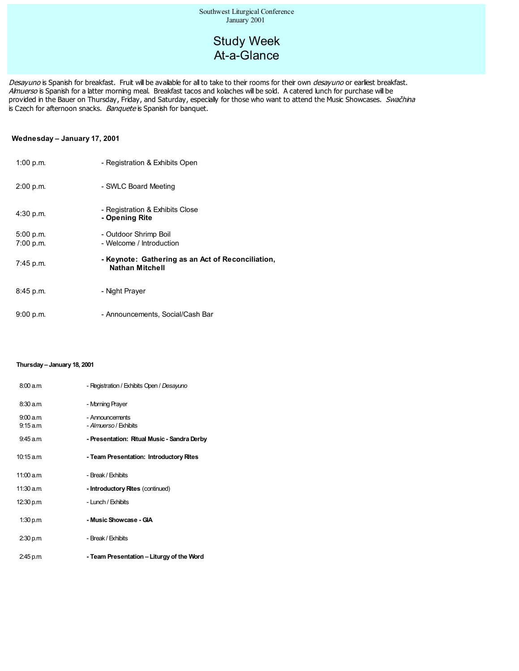# Study Week At-a-Glance

Desayuno is Spanish for breakfast. Fruit will be available for all to take to their rooms for their own desayuno or earliest breakfast. Almuerso is Spanish for a latter morning meal. Breakfast tacos and kolaches will be sold. A catered lunch for purchase will be provided in the Bauer on Thursday, Friday, and Saturday, especially for those who want to attend the Music Showcases. Swachina is Czech for afternoon snacks. Banquete is Spanish for banquet.

#### **Wednesday – January 17, 2001**

| 1:00 p.m. | - Registration & Exhibits Open                                              |
|-----------|-----------------------------------------------------------------------------|
| 2:00 p.m. | - SWLC Board Meeting                                                        |
| 4:30 p.m. | - Registration & Exhibits Close<br>- Opening Rite                           |
| 5:00 p.m. | - Outdoor Shrimp Boil                                                       |
| 7:00 p.m. | - Welcome / Introduction                                                    |
| 7:45 p.m. | - Keynote: Gathering as an Act of Reconciliation,<br><b>Nathan Mitchell</b> |
| 8:45 p.m. | - Night Prayer                                                              |
| 9:00 p.m. | - Announcements, Social/Cash Bar                                            |

#### **Thursday – January 18, 2001**

| 8:00 a.m             | - Registration / Exhibits Open / Desayuno        |
|----------------------|--------------------------------------------------|
| 8:30 a.m             | - Morning Prayer                                 |
| 9:00 a.m<br>9:15 a.m | - Announcements<br><i>- Almuerso / E</i> xhibits |
| 9:45 a.m             | - Presentation: Ritual Music - Sandra Derby      |
| 10:15 a.m            | - Team Presentation: Introductory Rites          |
| 11:00 a.m            | - Break / Exhibits                               |
| 11:30 a.m            | - Introductory Rites (continued)                 |
| 12:30 p.m.           | - Lunch / Exhibits                               |
| 1:30 p.m             | - Music Showcase - GIA                           |
| 2:30 p.m             | - Break / Exhibits                               |
| 2:45 p.m             | - Team Presentation – Liturgy of the Word        |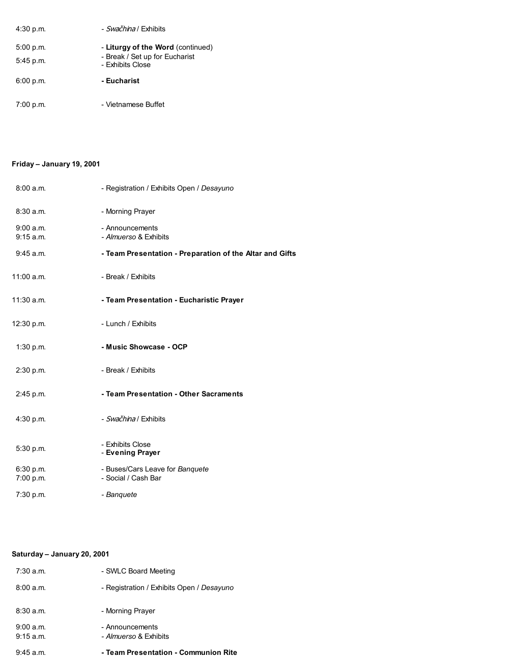| 4:30 p.m.   | - Swačhina / Exhibits                              |  |
|-------------|----------------------------------------------------|--|
| 5:00 p.m.   | - Liturgy of the Word (continued)                  |  |
| $5:45$ p.m. | - Break / Set up for Eucharist<br>- Exhibits Close |  |
| 6:00 p.m.   | - Eucharist                                        |  |
| 7:00 p.m.   | - Vietnamese Buffet                                |  |

## **Friday – January 19, 2001**

| 8:00a.m.               | - Registration / Exhibits Open / Desayuno                |
|------------------------|----------------------------------------------------------|
| 8:30a.m.               | - Morning Prayer                                         |
| 9:00a.m.<br>9:15 a.m.  | - Announcements<br>- Almuerso & Exhibits                 |
| 9:45 a.m.              | - Team Presentation - Preparation of the Altar and Gifts |
| 11:00 a.m.             | - Break / Exhibits                                       |
| $11:30$ a.m.           | - Team Presentation - Eucharistic Prayer                 |
| 12:30 p.m.             | - Lunch / Exhibits                                       |
| 1:30 p.m.              | - Music Showcase - OCP                                   |
| 2:30 p.m.              | - Break / Exhibits                                       |
| 2:45 p.m.              | - Team Presentation - Other Sacraments                   |
| 4:30 p.m.              | - Swačhina / Exhibits                                    |
| 5:30 p.m.              | - Exhibits Close<br>- Evening Prayer                     |
| 6:30 p.m.<br>7:00 p.m. | - Buses/Cars Leave for Banquete<br>- Social / Cash Bar   |
| 7:30 p.m.              | - Banquete                                               |

## **Saturday – January 20, 2001**

| 9:45 a.m.             | - Team Presentation - Communion Rite            |
|-----------------------|-------------------------------------------------|
| 9:00a.m.<br>9:15 a.m. | - Announcements<br><i>- Almuerso</i> & Exhibits |
| 8:30a.m.              | - Morning Prayer                                |
| 8:00a.m.              | - Registration / Exhibits Open / Desayuno       |
| $7:30$ a.m.           | - SWLC Board Meeting                            |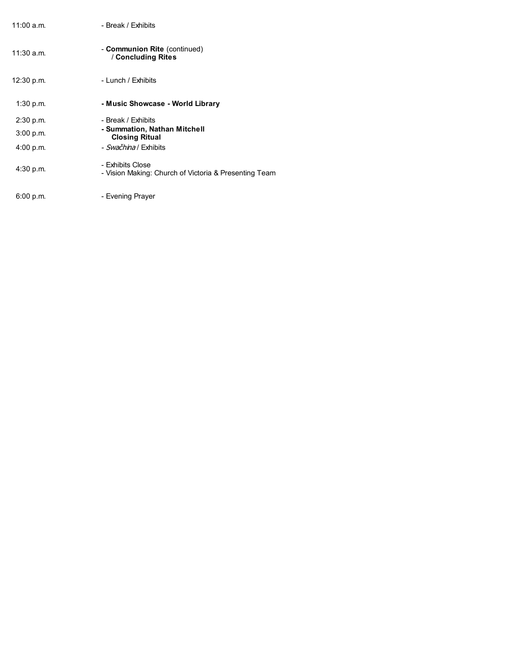| 11:00 a.m.   | - Break / Exhibits                                                        |
|--------------|---------------------------------------------------------------------------|
| $11:30$ a.m. | - Communion Rite (continued)<br>/ Concluding Rites                        |
| 12:30 p.m.   | - Lunch / Exhibits                                                        |
| 1:30 p.m.    | - Music Showcase - World Library                                          |
| 2:30 p.m.    | - Break / Exhibits                                                        |
| 3:00 p.m.    | - Summation, Nathan Mitchell<br><b>Closing Ritual</b>                     |
| 4:00 p.m.    | - <i>Swačhina</i> / Exhibits                                              |
| 4:30 p.m.    | - Exhibits Close<br>- Vision Making: Church of Victoria & Presenting Team |
| 6:00 p.m.    | - Evening Prayer                                                          |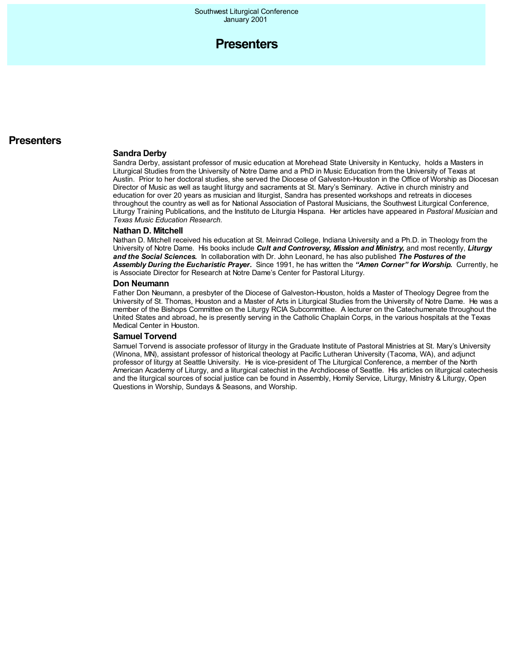

## **Presenters**

#### **Sandra Derby**

Sandra Derby, assistant professor of music education at Morehead State University in Kentucky, holds a Masters in Liturgical Studies from the University of Notre Dame and a PhD in Music Education from the University of Texas at Austin. Prior to her doctoral studies, she served the Diocese of Galveston-Houston in the Office of Worship as Diocesan Director of Music as well as taught liturgy and sacraments at St. Mary's Seminary. Active in church ministry and education for over 20 years as musician and liturgist, Sandra has presented workshops and retreats in dioceses throughout the country as well as for National Association of Pastoral Musicians, the Southwest Liturgical Conference, Liturgy Training Publications, and the Instituto de Liturgia Hispana. Her articles have appeared in *Pastoral Musician* and *Texas Music Education Research.*

#### **Nathan D. Mitchell**

Nathan D. Mitchell received his education at St. Meinrad College, Indiana University and a Ph.D. in Theology from the University of Notre Dame. His books include *Cult and Controversy, Mission and Ministry,* and most recently, *Liturgy and the Social Sciences.* In collaboration with Dr. John Leonard, he has also published *The Postures of the Assembly During the Eucharistic Prayer.* Since 1991, he has written the *"Amen Corner" for Worship.* Currently, he is Associate Director for Research at Notre Dame's Center for Pastoral Liturgy.

#### **Don Neumann**

Father Don Neumann, a presbyter of the Diocese of Galveston-Houston, holds a Master of Theology Degree from the University of St. Thomas, Houston and a Master of Arts in Liturgical Studies from the University of Notre Dame. He was a member of the Bishops Committee on the Liturgy RCIA Subcommittee. A lecturer on the Catechumenate throughout the United States and abroad, he is presently serving in the Catholic Chaplain Corps, in the various hospitals at the Texas Medical Center in Houston.

#### **Samuel Torvend**

Samuel Torvend is associate professor of liturgy in the Graduate Institute of Pastoral Ministries at St. Mary's University (Winona, MN), assistant professor of historical theology at Pacific Lutheran University (Tacoma, WA), and adjunct professor of liturgy at Seattle University. He is vice-president of The Liturgical Conference, a member of the North American Academy of Liturgy, and a liturgical catechist in the Archdiocese of Seattle. His articles on liturgical catechesis and the liturgical sources of social justice can be found in Assembly, Homily Service, Liturgy, Ministry & Liturgy, Open Questions in Worship, Sundays & Seasons, and Worship.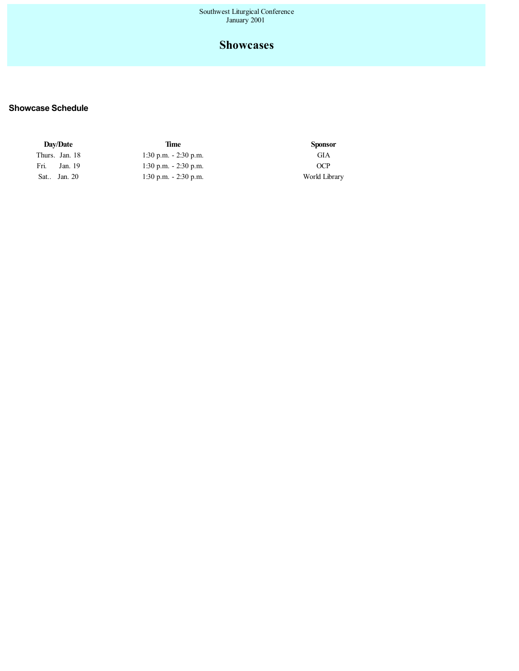## **Showcases**

## **Showcase Schedule**

| Day/Date        | Time                     | <b>Sponsor</b> |
|-----------------|--------------------------|----------------|
| Thurs. Jan. 18  | $1:30$ p.m. $-2:30$ p.m. | GIA            |
| Fri.<br>Jan. 19 | $1:30$ p.m. $-2:30$ p.m. | OCP            |
| Sat., Jan. 20   | $1:30$ p.m. $-2:30$ p.m. | World Library  |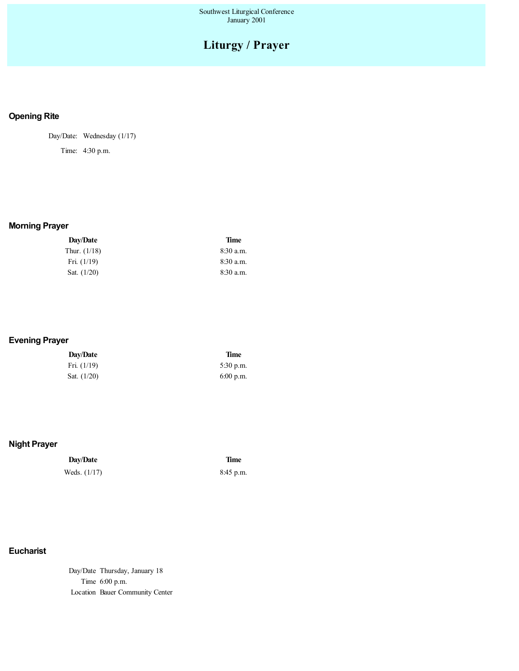# **Liturgy / Prayer**

## **Opening Rite**

Day/Date: Wednesday (1/17)

Time: 4:30 p.m.

## **Morning Prayer**

| <b>Dav/Date</b> | <b>Time</b> |
|-----------------|-------------|
| Thur. (1/18)    | 8:30 a.m.   |
| Fri. $(1/19)$   | $8:30$ a.m. |
| Sat. $(1/20)$   | $8:30$ a.m. |
|                 |             |

## **Evening Prayer**

| Day/Date      | <b>Time</b> |
|---------------|-------------|
| Fri. $(1/19)$ | $5:30$ p.m. |
| Sat. $(1/20)$ | $6:00$ p.m. |

## **Night Prayer**

## **Day/Date Time** Weds. (1/17) 8:45 p.m.

## **Eucharist**

Day/Date Thursday, January 18 Time 6:00 p.m. Location Bauer Community Center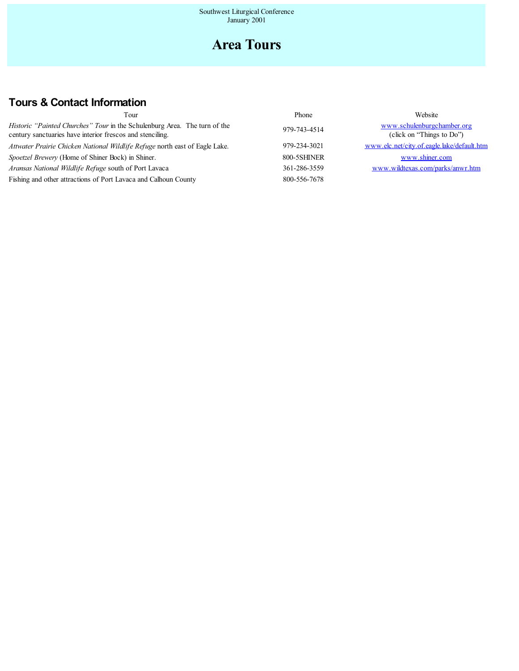# **Area Tours**

# **Tours & Contact Information**

| Tour                                                                                                                                          | Phone        | Website                                                 |
|-----------------------------------------------------------------------------------------------------------------------------------------------|--------------|---------------------------------------------------------|
| <i>Historic "Painted Churches" Tour</i> in the Schulenburg Area. The turn of the<br>century sanctuaries have interior frescos and stenciling. | 979-743-4514 | www.schulenburgchamber.org<br>(click on "Things to Do") |
| Attwater Prairie Chicken National Wildlife Refuge north east of Eagle Lake.                                                                   | 979-234-3021 | www.elc.net/city.of.eagle.lake/default.htm              |
| Spoetzel Brewery (Home of Shiner Bock) in Shiner.                                                                                             | 800-5SHINER  | www.shiner.com                                          |
| Aransas National Wildlife Refuge south of Port Lavaca                                                                                         | 361-286-3559 | www.wildtexas.com/parks/anwr.htm                        |
| Fishing and other attractions of Port Lavaca and Calhoun County                                                                               | 800-556-7678 |                                                         |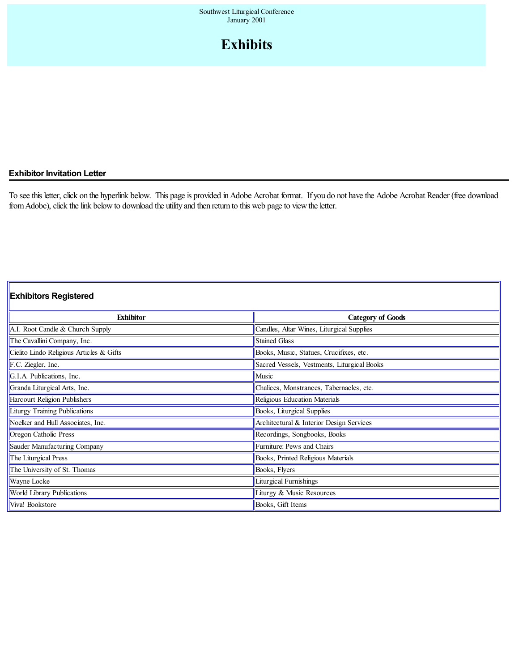# **Exhibits**

## **Exhibitor Invitation Letter**

To see this letter, click on the hyperlink below. This page is provided in Adobe Acrobat format. If you do not have the Adobe Acrobat Reader (free download from Adobe), click the link below to download the utility and then return to this web page to view the letter.

## **Exhibitors Registered**

| <b>Exhibitor</b>                         | <b>Category of Goods</b>                    |  |  |
|------------------------------------------|---------------------------------------------|--|--|
| A.I. Root Candle & Church Supply         | Candles, Altar Wines, Liturgical Supplies   |  |  |
| The Cavallini Company, Inc.              | <b>Stained Glass</b>                        |  |  |
| Cielito Lindo Religious Articles & Gifts | Books, Music, Statues, Crucifixes, etc.     |  |  |
| F.C. Ziegler, Inc.                       | Sacred Vessels, Vestments, Liturgical Books |  |  |
| G.I.A. Publications, Inc.                | Music                                       |  |  |
| Granda Liturgical Arts, Inc.             | Chalices, Monstrances, Tabernacles, etc.    |  |  |
| Harcourt Religion Publishers             | Religious Education Materials               |  |  |
| Liturgy Training Publications            | Books, Liturgical Supplies                  |  |  |
| Noelker and Hull Associates, Inc.        | Architectural & Interior Design Services    |  |  |
| Oregon Catholic Press                    | Recordings, Songbooks, Books                |  |  |
| Sauder Manufacturing Company             | Furniture: Pews and Chairs                  |  |  |
| The Liturgical Press                     | Books, Printed Religious Materials          |  |  |
| The University of St. Thomas             | Books, Flyers                               |  |  |
| Wayne Locke                              | Liturgical Furnishings                      |  |  |
| World Library Publications               | Liturgy & Music Resources                   |  |  |
| Viva! Bookstore                          | Books, Gift Items                           |  |  |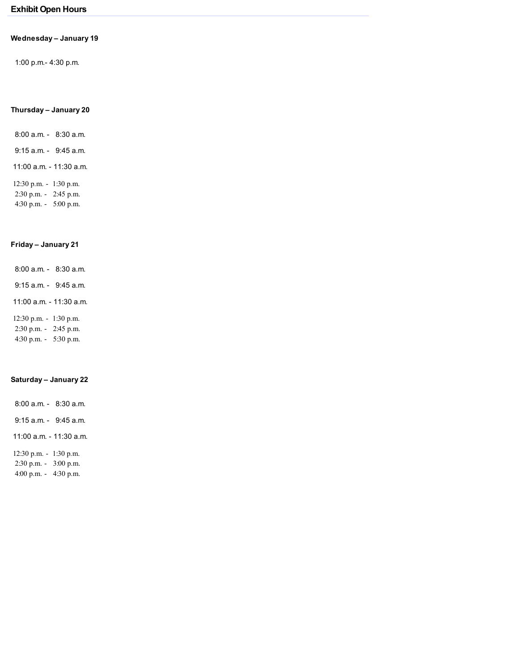## **Exhibit Open Hours**

#### **Wednesday – January 19**

1:00 p.m.- 4:30 p.m.

### **Thursday – January 20**

- 8:00 a.m. 8:30 a.m. 9:15 a.m. - 9:45 a.m. 11:00 a.m. - 11:30 a.m.
- 12:30 p.m. 1:30 p.m. 2:30 p.m. - 2:45 p.m. 4:30 p.m. - 5:00 p.m.

### **Friday – January 21**

- 8:00 a.m. 8:30 a.m.
- 9:15 a.m. 9:45 a.m.
- 11:00 a.m. 11:30 a.m.
- 12:30 p.m. 1:30 p.m.
- 2:30 p.m. 2:45 p.m.
- 4:30 p.m. 5:30 p.m.

#### **Saturday – January 22**

- 8:00 a.m. 8:30 a.m.
- 9:15 a.m. 9:45 a.m.
- 11:00 a.m. 11:30 a.m.
- 12:30 p.m. 1:30 p.m.
- 2:30 p.m. 3:00 p.m.
- 4:00 p.m. 4:30 p.m.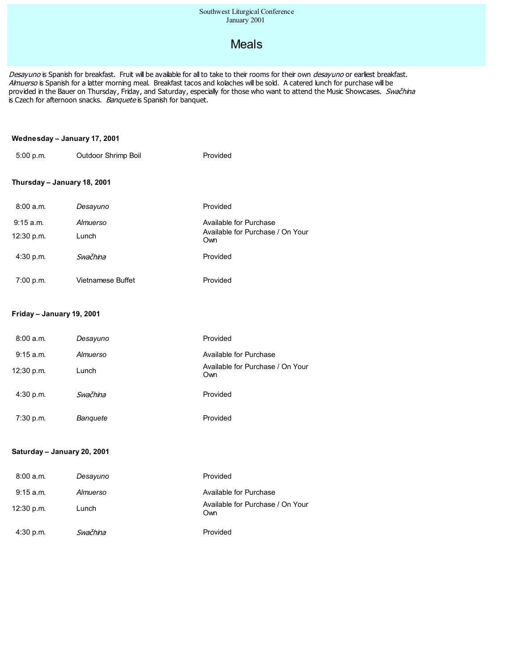# Meals

Desayuno is Spanish for breakfast. Fruit will be available for all to take to their rooms for their own desayuno or earliest breakfast. Almuerso is Spanish for a latter morning meal. Breakfast tacos and kolaches will be sold. A catered lunch for purchase will be provided in the Bauer on Thursday, Friday, and Saturday, especially for those who want to attend the Music Showcases. Swačhina is Czech for afternoon snacks. Banquete is Spanish for banquet.

#### **Wednesday – January 17, 2001**

| 5:00 p.m. | Outdoor Shrimp Boil | Provided |
|-----------|---------------------|----------|
|           |                     |          |

## **Thursday – January 18, 2001**

| 8:00a.m.    | Desayuno          | Provided                                                   |
|-------------|-------------------|------------------------------------------------------------|
| 9:15 a.m.   | Almuerso          | Available for Purchase<br>Available for Purchase / On Your |
| 12:30 p.m.  | Lunch             | Own                                                        |
| 4:30 p.m.   | Swačhina          | Provided                                                   |
| $7:00$ p.m. | Vietnamese Buffet | Provided                                                   |

#### **Friday – January 19, 2001**

| 8:00a.m.   | Desayuno | Provided                                |
|------------|----------|-----------------------------------------|
| 9:15 a.m.  | Almuerso | Available for Purchase                  |
| 12:30 p.m. | Lunch    | Available for Purchase / On Your<br>Own |
| 4:30 p.m.  | Swačhina | Provided                                |
| 7:30 p.m.  | Banquete | Provided                                |

#### **Saturday – January 20, 2001**

| 8:00a.m.    | Desayuno | Provided                                |
|-------------|----------|-----------------------------------------|
| $9:15$ a.m. | Almuerso | Available for Purchase                  |
| 12:30 p.m.  | Lunch    | Available for Purchase / On Your<br>Own |
| 4:30 p.m.   | Swačhina | Provided                                |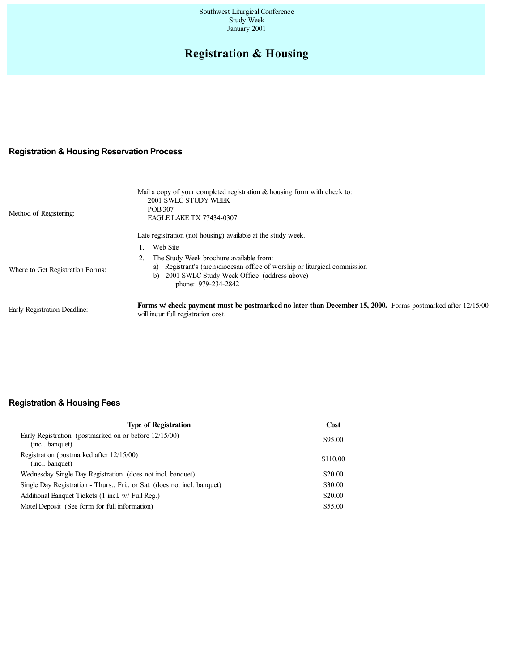#### Southwest Liturgical Conference Study Week January 2001

# **Registration & Housing**

## **Registration & Housing Reservation Process**

| Method of Registering:           | Mail a copy of your completed registration & housing form with check to:<br>2001 SWLC STUDY WEEK<br><b>POB 307</b><br><b>EAGLE LAKE TX 77434-0307</b>                                            |
|----------------------------------|--------------------------------------------------------------------------------------------------------------------------------------------------------------------------------------------------|
|                                  | Late registration (not housing) available at the study week.                                                                                                                                     |
|                                  | Web Site                                                                                                                                                                                         |
| Where to Get Registration Forms: | The Study Week brochure available from:<br>a) Registrant's (arch)diocesan office of worship or liturgical commission<br>2001 SWLC Study Week Office (address above)<br>b)<br>phone: 979-234-2842 |
| Early Registration Deadline:     | <b>Forms w check payment must be postmarked no later than December 15, 2000.</b> Forms postmarked after 12/15/00<br>will incur full registration cost.                                           |

## **Registration & Housing Fees**

| <b>Type of Registration</b>                                              | Cost     |
|--------------------------------------------------------------------------|----------|
| Early Registration (postmarked on or before 12/15/00)<br>(incl. banquet) | \$95.00  |
| Registration (postmarked after 12/15/00)<br>(incl. banquet)              | \$110.00 |
| Wednesday Single Day Registration (does not incl. banquet)               | \$20.00  |
| Single Day Registration - Thurs., Fri., or Sat. (does not incl. banquet) | \$30.00  |
| Additional Banquet Tickets (1 incl. w/ Full Reg.)                        | \$20.00  |
| Motel Deposit (See form for full information)                            | \$55.00  |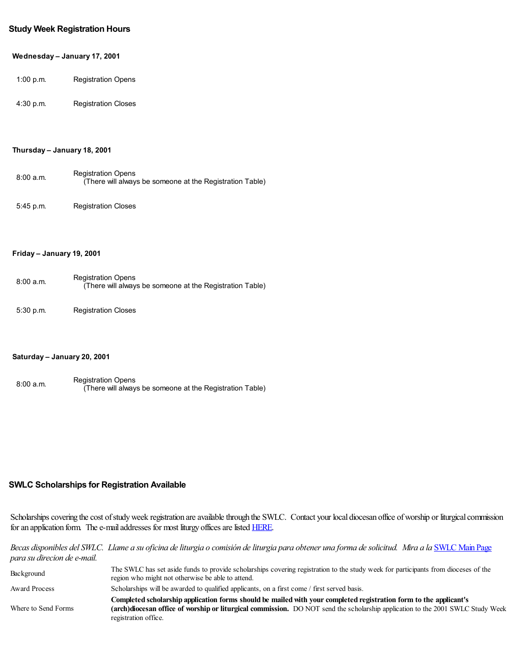#### **Study Week Registration Hours**

#### **Wednesday – January 17, 2001**

| 1:00 p.m. | <b>Registration Opens</b> |
|-----------|---------------------------|
|-----------|---------------------------|

4:30 p.m. Registration Closes

#### **Thursday – January 18, 2001**

| 8:00a.m. | <b>Registration Opens</b><br>(There will always be someone at the Registration Table) |
|----------|---------------------------------------------------------------------------------------|
|          |                                                                                       |

5:45 p.m. Registration Closes

#### **Friday – January 19, 2001**

| 8:00a.m. | <b>Registration Opens</b><br>(There will always be someone at the Registration Table) |
|----------|---------------------------------------------------------------------------------------|
|          |                                                                                       |

5:30 p.m. Registration Closes

#### **Saturday – January 20, 2001**

| 8:00 a.m. | <b>Registration Opens</b>                                |
|-----------|----------------------------------------------------------|
|           | (There will always be someone at the Registration Table) |

### **SWLC Scholarships for Registration Available**

Scholarships covering the cost of study week registration are available through the SWLC. Contact your local diocesan office of worship or liturgical commission for an application form. The e-mail addresses for most liturgy offices are listed HERE.

### Becas disponibles del SWLC. Llame a su oficina de liturgia o comisión de liturgia para obtener una forma de solicitud. Mira a la SWLC Main Page *para su direcion dee-mail.*

| Background          | The SWLC has set aside funds to provide scholarships covering registration to the study week for participants from dioceses of the<br>region who might not otherwise be able to attend.                                                                                     |
|---------------------|-----------------------------------------------------------------------------------------------------------------------------------------------------------------------------------------------------------------------------------------------------------------------------|
| Award Process       | Scholarships will be awarded to qualified applicants, on a first come / first served basis.                                                                                                                                                                                 |
| Where to Send Forms | Completed scholarship application forms should be mailed with your completed registration form to the applicant's<br>(arch)diocesan office of worship or liturgical commission. DO NOT send the scholarship application to the 2001 SWLC Study Week<br>registration office. |